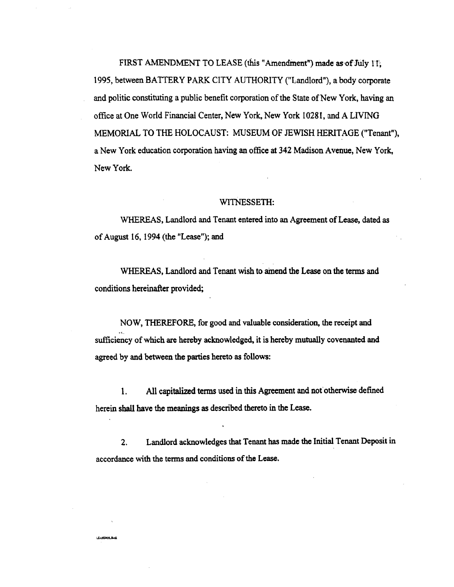FI**RST** AM**E**NDME**N**T **T**O L**E**A**SE** (**t**hi**s** "Am**end**ment**")** m**ad**e a**sof.**Jul**y** I**I**'**; 19**9**5**, **b**et**w**ee**n** *B*ATTE**R**Y **P**ARK CI**TY** AUTHORI**TY** CLandlo**r**d")**,** a bo**dy** co**rp**o**r**a**t**e and **p**ol**i**ti**c** c**o**nstitut**i**ng **a** pu**b**li**c** b**e**n**ef**it **c**orpo*r***a**tion of th**e St**ate of Ne**w Y**o**rk**, h**aving** an offi**c**e at One Wo**r**l**d** Finan**ci**al Cente**r**, Ne**w** Yo**r**k,N**ew** Yo**r**k 102**g**l**,** and A LIVIN**G** M**E**MORIAL **T**O **T**HE HOLOCAU**ST:** MU**S**EUM OF **J**EWI**S**H HERITA**G**E ("**T**en**a**n**t**")**, a**Ne**w** Yo**r**k **e**d**uca**tion **c**o**rp**o**r**a**ti**o**nhavi**n**g** an o**ffice** a**t 34**2 Mad**i**so**n** A**v**en**ue,** Ne**w** Yo**r**k, Ne**w Y**o**r**k**.**

#### WITNESSETH:

**WHE**R**E**AS**,**Lan**d**l**ord an**d T**e**n**ant** en**teredinto anAgre**em**ent o**f **Lea**se**, dat**ed**a**s o**f** Aug**u**s**t 1**6, 19**9**4 (the "Lease"**);** an**d**

**WHERE**AS**,**Lan**dlord** an**d** T**e**na**n**t **wi**sh **to** a**me**n**d t**he **Le**ase **on** the **term**s and  $\alpha$  conditions hereinafter provided;

NOW**,** THER**E**FO**R**E, f**or** go**od an**dv**a**lu**a**ble c**o**ns**id**era**t**i**on**, the **rec**e**ipt** an**d** su**fficie**n**cy of** w**h**i**ch arehereby** a**ckn**ow**ledged**,**it** i**s** he**re**b**y m**utu**a**l**ly c**ov**e**nante**d** an**d** a**greed** b**y** an**d** b**e**tw**een t**he **part**ies**hereto**as **fo**l**low**s**:**

1. All **ca**p**ita**l**ized ter**ms us**ed** in t**h**is Ag**reementan**d n**o**t **o**th**erw**is**e de**fin**ed** h**ere**in sh**all h**ave the m**e**a**n**i**ng**s as **de**s**cribe**d th**ere**t**o** in th**e Le**ase**.**

**2. L**and**lord**a**c**k**n**ow**le**d**ge**s t**hatTen**a**nt**h**a**s **m**a**d**e the **In**itial T**enan**t **D**e**p**os**it in accor**dan**c**e **w**it**h** the t**erm**s an**d conditio**ns **of** the **Lea**se**.**

**LEASEROL BAK**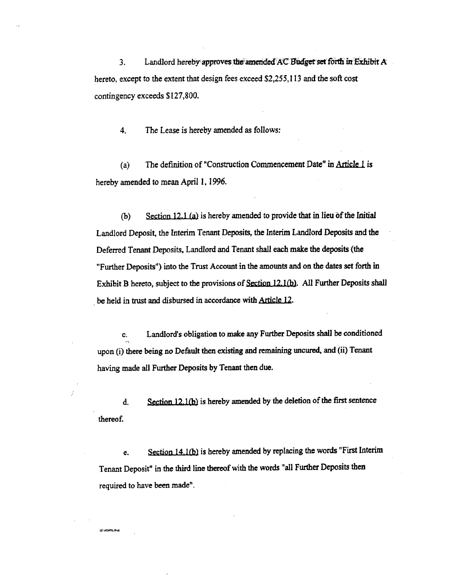Landlord hereby approves the amended AC Budget set forth in Exhibit A  $3.$ hereto, except to the extent that design fees exceed \$2,255,113 and the soft cost contingency exceeds \$127,800.

The Lease is hereby amended as follows:  $\overline{4}$ .

The definition of "Construction Commencement Date" in Article 1 is  $(a)$ hereby amended to mean April 1, 1996.

Section 12.1 (a) is hereby amended to provide that in lieu of the Initial  $(b)$ Landlord Deposit, the Interim Tenant Deposits, the Interim Landlord Deposits and the Deferred Tenant Deposits, Landlord and Tenant shall each make the deposits (the "Further Deposits") into the Trust Account in the amounts and on the dates set forth in Exhibit B hereto, subject to the provisions of Section 12.1(b). All Further Deposits shall be held in trust and disbursed in accordance with Article 12.

Landlord's obligation to make any Further Deposits shall be conditioned c. upon (i) there being no Default then existing and remaining uncured, and (ii) Tenant having made all Further Deposits by Tenant then due.

Section 12.1(b) is hereby amended by the deletion of the first sentence  $\mathbf{d}$ . thereof.

Section 14.1(b) is hereby amended by replacing the words "First Interim e. Tenant Deposit" in the third line thereof with the words "all Further Deposits then required to have been made".

**IF ASPARE BAK**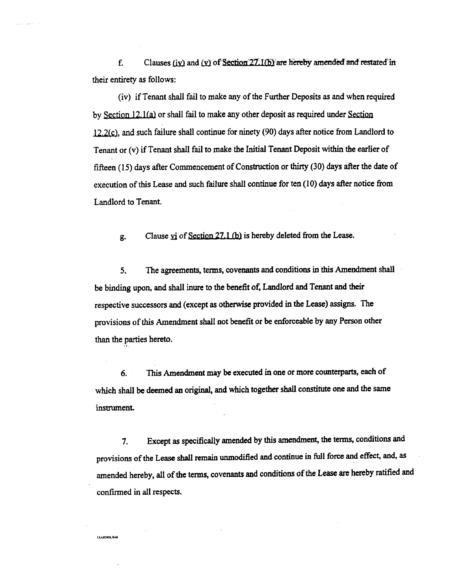f. Clauses (iv) and (v) of Section  $27.1(b)$  are hereby amended and restated in thei**r** e**n**tirety **a***s* fo**llo**w**s**:

(**i**v) **i**f Tenant sha**l**l **f**ail t**o** make any of the Furthe**r** Depo**s**its a**s** and when requi**r**ed by S\_**l**i.\_**k2**2**,**J.*(*\_ or shall f**a**il to make any othe**r** deposit as required **u**nde**r Section** 1**2**,**2**\_*,* and such **f**ailure shall continue fo**r n**inety (*9*0) day**s** af*t***er** notice from L**a**ndlord to Tenan**t** o**r (**v) **i**f Tenan**t** shall fail to m**a**ke the In**i**tial Tena**nt** Depo**s**i**t** withi**n** the ea**r**lie**r** of fi**f***t*een (I 5) days a**f***t*er Commenceme**nt** of Con**s**t**r**uction or *t*h**i**r**t**y (30) day**s** a**ft**e**r** the date o**f** execution o**f** thi**s** *L*ea*s*e and such failure shall contin**u**e fo**r** te**n** (10) day**s** afte**r n**otice from *L*andlo**r**d to Tenant.

g. Clause **v**i of <u>Section 27.1 (b)</u> is hereby deleted from the Lease.

**5**. **T**he **agr**e**e**m**en**ts**,** t**erm**s**,** cov**e**n**a**n**t**s an**d con**diti**o**ns in this Am**en**dm**e**nt sh**a**l**l** be binding upon, and shall inure to the benefit of, Landlord and Tenant and their **re**sp**ec**tiv**e** s**ucces**so**r**s and (**e**xc**e**pt as otherwise p**r**o**v**i**de**d **in** th**e** L**e**ase**)** assi**g**ns**.** Th**e** p**r**ov**i**s**i**ons of this Ame*n*dm**e**nt shall **n**ot b**ene**fit o**r** be **e**nfo**r**c**e**a**b**l**e** *b***y** an**y** P**er**so**n** oth**er** than the p**a**rti**e**s h**e**re**to.** ,%.

**6**. **Th**i**s A**m**e**n**dment may be e**xec**uted** in **on**e o**r morec**o**unterparts,eac**h **of** which shall be deemed an original, and which together shall constitute one and the same inst**r**um**en**L

**7**. Ex**cept** as s**pec**ifi**c**all**y** am**e**nded **by** thi**s** ame**n**dm**ent**, **t**h**e ter**m**s,**c**on**d**itio**ns **a**nd provisions of the Lease shall remain unmodified and continue in full force and effect, and, as **a**m**en**d**ed hereby,** al**l of** th**e** t**e**rm**s,** co**venan**ts **andcondit**i**ons of** the **Leaseare herebyra**tified **and con**fi**r**m**ed in a**l**l respec**ts**.**

**LEASEROLBAK**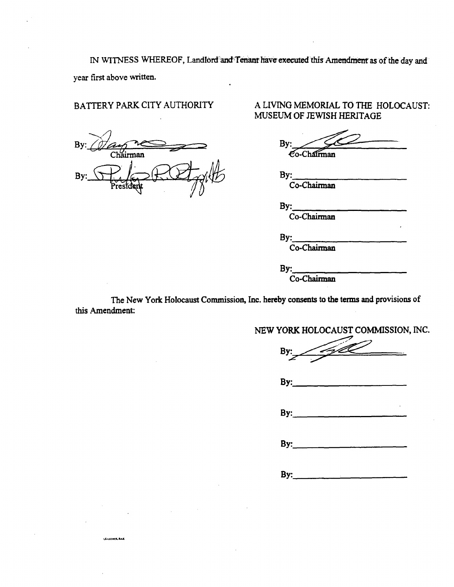IN WITNESS WHEREOF, Landlord and Tenant have executed this Amendment as of the day and year first above written.

## BATTERY PARK CITY AUTHORITY

**LEASEHOLBAR** 

A LIVING MEMORIAL TO THE HOLOCAUST: MUSEUM OF JEWISH HERITAGE

By: Co-Chairman

By: Co-Chairman

By:

Co-Chairman

By: Co-Chairman

By: Co-Chairman

The New York Holocaust Commission, Inc. hereby consents to the terms and provisions of this Amendment:

NEW YORK HOLOCAUST COMMISSION, INC.

By  $By:$  $By:$ 

By:

 $By:$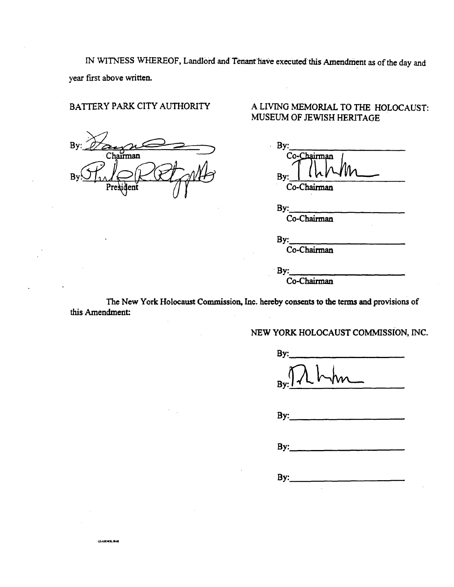IN WITNESS WHEREOF, Landlord and Tenant have executed this Amendment as of the day and year first above written.

## BATTERY PARK CITY AUTHORITY

 $B<sub>1</sub>$ nan

**LEASEHOLBAK** 

## A LIVING MEMORIAL TO THE HOLOCAUST: MUSEUM OF JEWISH HERITAGE

| ٠   |             |  |
|-----|-------------|--|
|     | Co-Chairman |  |
|     |             |  |
| By: |             |  |
|     | Co-Chairman |  |
|     |             |  |

By: Co-Chairman

By: Co-Chairman

By:

Co-Chairman

The New York Holocaust Commission, Inc. hereby consents to the terms and provisions of this Amendment:

NEW YORK HOLOCAUST COMMISSION, INC.

| $By: \overline{\Lambda}$ hhm |  |
|------------------------------|--|
| By:                          |  |
| By:                          |  |
| By:                          |  |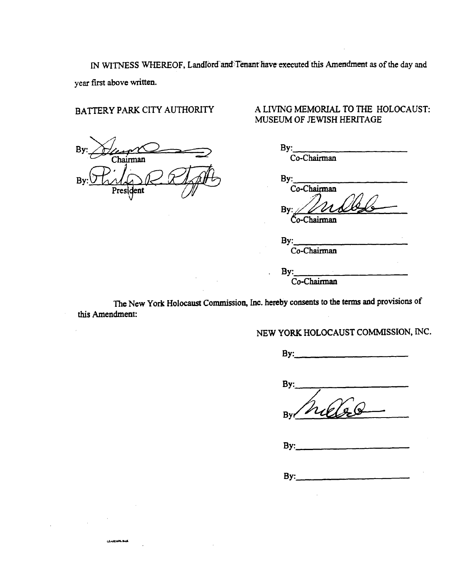IN WITNESS WHEREOF, Landford and Tenant have executed this Amendment as of the day and year first above written.

## BATTERY PARK CITY AUTHORITY

R Chairman  $\overline{B}$ dent

LEASEHOL BAK

## A LIVING MEMORIAL TO THE HOLOCAUST: MUSEUM OF JEWISH HERITAGE

| By:         |  |
|-------------|--|
| Co-Chairman |  |
|             |  |
| By:         |  |
| Co-Chairman |  |

By Čo-Chairman

By: Co-Chairman  $By:$ Co-Chairman

The New York Holocaust Commission, Inc. hereby consents to the terms and provisions of this Amendment:

NEW YORK HOLOCAUST COMMISSION, INC.

 $By:$ 

By: **Bv** 

 $By:$ 

 $By:$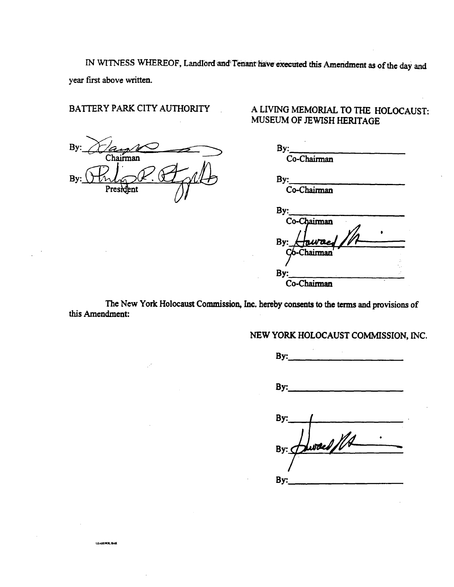IN WITNESS WHEREOF, Landlord and Tenant have executed this Amendment as of the day and year first above written.

## BATTERY PARK CITY AUTHORITY

 $B<sub>1</sub>$ Chairman  $B<sub>1</sub>$ 

**LEASENOL BAK** 

## A LIVING MEMORIAL TO THE HOLOCAUST: MUSEUM OF JEWISH HERITAGE

| $\mathsf{By:}_{\scriptscriptstyle\blacksquare}$<br>Co-Chairman |  |
|----------------------------------------------------------------|--|
| By: $\_\_$<br>Co-Chairman                                      |  |
| By:__<br>Co-Chairman                                           |  |
| Howard //<br>By:                                               |  |
| By:                                                            |  |
| Co-Chairman                                                    |  |

The New York Holocaust Commission, Inc. hereby consents to the terms and provisions of this Amendment:

NEW YORK HOLOCAUST COMMISSION, INC.

By:  $\qquad \qquad$ By: By: By:  $($ By: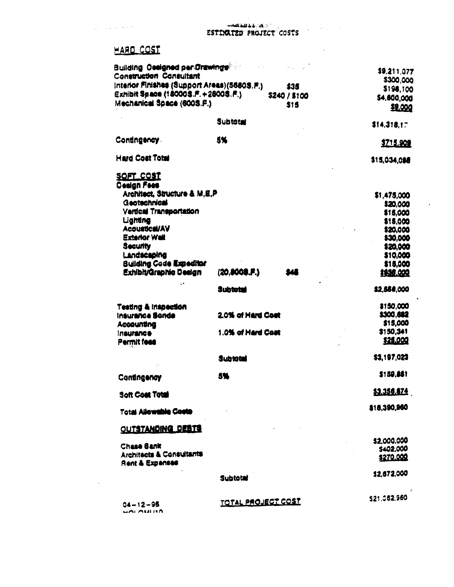$\sim 100$ 

 $\star$ 

 $\hat{\boldsymbol{\cdot} }$ 

# HARD COST

 $\gamma_{\rm max} = \gamma_{\rm max}$  , we have  $\gamma_{\rm max}$ 

 $\overline{\phantom{a}}$ 

 $\sim$ 

| <b>Building Ossigned per Orawings®</b>      |                           | \$9,211,077  |
|---------------------------------------------|---------------------------|--------------|
| <b>Construction Consultant</b>              |                           | \$300,000    |
| Interior Finishes (Support Areas)(5660S.F.) | \$35                      |              |
| Exhibit Space (180003.F. +28003.F.)         | \$240 / \$100             | \$198,100    |
| Mechanical Space (600S.F.)                  | \$15                      | \$4,600,000  |
|                                             |                           | \$9,000      |
|                                             | <b>Subtotal</b>           | \$14,318,17  |
|                                             |                           |              |
| Contingency                                 | 5%                        | \$715,909    |
| <b>Hard Cost Total</b>                      |                           | \$15,034,088 |
| <u>SOFT COST</u>                            |                           |              |
| <b>Design Fees</b>                          |                           |              |
| Architect, Structure & M.E.P.               |                           | \$1,475,000  |
| Geotechnical                                |                           | \$20,000     |
| <b>Vertical Transportation</b>              |                           | \$15,000     |
| Lighting                                    |                           | \$15,000     |
| <b>Acoustical/AV</b>                        |                           | \$20,000     |
| <b>Exterior Wall</b>                        |                           | 130,000      |
| Security                                    |                           | 120,000      |
| Landscaping                                 |                           | \$10,000     |
| <b>Building Code Expeditor</b>              |                           | \$15,000     |
| Exhibit/Graphic Design                      | (20,8008.F.)<br>SAS       | \$\$36,000   |
|                                             | Subtotal                  | \$2,558,000  |
| Testing & Inspection                        |                           | \$150,000    |
| Insurance Sonde                             | 2.0% of Hard Cost         | \$300,682    |
| Accounting                                  |                           | \$15,000     |
| <i><b>Insurance</b></i>                     | 1.0% of Hard Cost         | \$150,341    |
| Permit fees                                 |                           | \$25,000     |
|                                             | Subtotal                  | 53,197,023   |
| Contingency                                 | 5%                        | \$159,851    |
| Soft Coat Total                             |                           | 53.356.674   |
|                                             |                           | \$18,390,960 |
| <b>Total Allowable Costs</b>                |                           |              |
| <b>OUTSTANDING DEBTS</b>                    |                           |              |
| <b>Chase Bank</b>                           |                           | \$2,000,000  |
| <b>Architects &amp; Consultants</b>         |                           | \$402,000    |
| Rent & Expenses                             |                           | \$270.000    |
|                                             | <b>Subtotal</b>           | \$2,672,000  |
|                                             |                           |              |
|                                             | <u>TOTAL PROJECT COST</u> | \$21,062,960 |
| 04-12-95<br><b>MALAMITA</b>                 |                           |              |